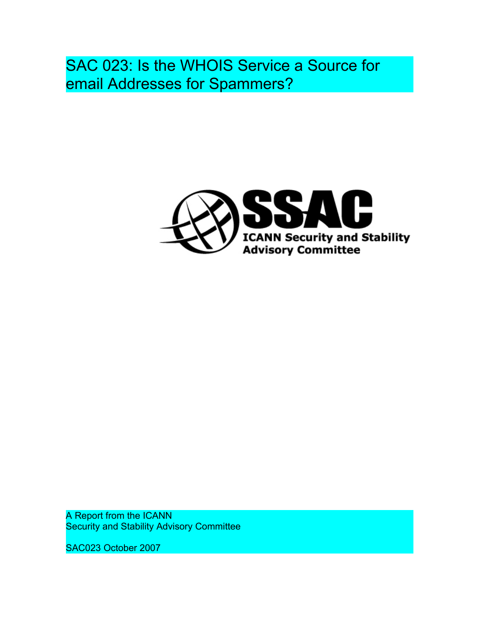SAC 023: Is the WHOIS Service a Source for email Addresses for Spammers?



A Report from the ICANN Security and Stability Advisory Committee

SAC023 October 2007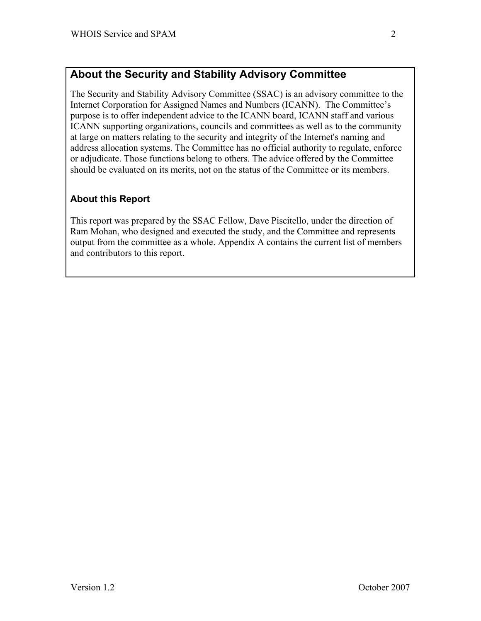#### **About the Security and Stability Advisory Committee**

The Security and Stability Advisory Committee (SSAC) is an advisory committee to the Internet Corporation for Assigned Names and Numbers (ICANN). The Committee's purpose is to offer independent advice to the ICANN board, ICANN staff and various ICANN supporting organizations, councils and committees as well as to the community at large on matters relating to the security and integrity of the Internet's naming and address allocation systems. The Committee has no official authority to regulate, enforce or adjudicate. Those functions belong to others. The advice offered by the Committee should be evaluated on its merits, not on the status of the Committee or its members.

#### **About this Report**

This report was prepared by the SSAC Fellow, Dave Piscitello, under the direction of Ram Mohan, who designed and executed the study, and the Committee and represents output from the committee as a whole. Appendix A contains the current list of members and contributors to this report.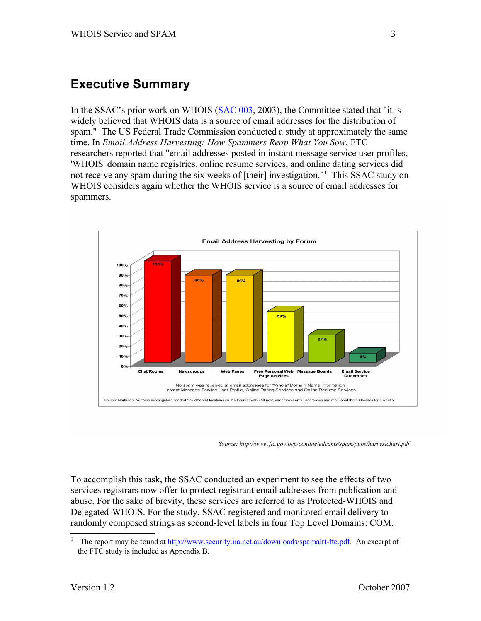## **Executive Summary**

In the SSAC's prior work on WHOIS ([SAC 003](http://www.icann.org/committees/security/sac003.htm), 2003), the Committee stated that "it is widely believed that WHOIS data is a source of email addresses for the distribution of spam." The US Federal Trade Commission conducted a study at approximately the same time. In *Email Address Harvesting: How Spammers Reap What You Sow*, FTC researchers reported that "email addresses posted in instant message service user profiles, 'WHOIS' domain name registries, online resume services, and online dating services did not receive any spam during the six weeks of [their] investigation."[1](#page-2-0) This SSAC study on WHOIS considers again whether the WHOIS service is a source of email addresses for spammers.



*Source: http://www.ftc.gov/bcp/conline/edcams/spam/pubs/harvestchart.pdf*

To accomplish this task, the SSAC conducted an experiment to see the effects of two services registrars now offer to protect registrant email addresses from publication and abuse. For the sake of brevity, these services are referred to as Protected-WHOIS and Delegated-WHOIS. For the study, SSAC registered and monitored email delivery to randomly composed strings as second-level labels in four Top Level Domains: COM,

<span id="page-2-0"></span><sup>1</sup> The report may be found at [http://www.security.iia.net.au/downloads/spamalrt-ftc.pdf.](http://www.security.iia.net.au/downloads/spamalrt-ftc.pdf) An excerpt of the FTC study is included as Appendix B.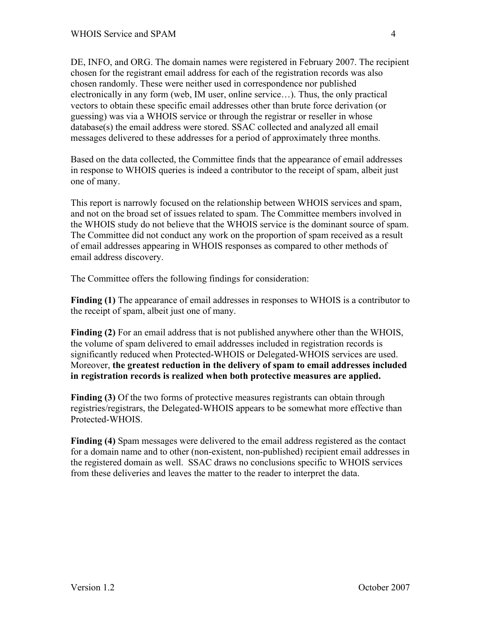DE, INFO, and ORG. The domain names were registered in February 2007. The recipient chosen for the registrant email address for each of the registration records was also chosen randomly. These were neither used in correspondence nor published electronically in any form (web, IM user, online service…). Thus, the only practical vectors to obtain these specific email addresses other than brute force derivation (or guessing) was via a WHOIS service or through the registrar or reseller in whose database(s) the email address were stored. SSAC collected and analyzed all email messages delivered to these addresses for a period of approximately three months.

Based on the data collected, the Committee finds that the appearance of email addresses in response to WHOIS queries is indeed a contributor to the receipt of spam, albeit just one of many.

This report is narrowly focused on the relationship between WHOIS services and spam, and not on the broad set of issues related to spam. The Committee members involved in the WHOIS study do not believe that the WHOIS service is the dominant source of spam. The Committee did not conduct any work on the proportion of spam received as a result of email addresses appearing in WHOIS responses as compared to other methods of email address discovery.

The Committee offers the following findings for consideration:

**Finding (1)** The appearance of email addresses in responses to WHOIS is a contributor to the receipt of spam, albeit just one of many.

**Finding (2)** For an email address that is not published anywhere other than the WHOIS, the volume of spam delivered to email addresses included in registration records is significantly reduced when Protected-WHOIS or Delegated-WHOIS services are used. Moreover, **the greatest reduction in the delivery of spam to email addresses included in registration records is realized when both protective measures are applied.**

**Finding (3)** Of the two forms of protective measures registrants can obtain through registries/registrars, the Delegated-WHOIS appears to be somewhat more effective than Protected-WHOIS.

**Finding (4)** Spam messages were delivered to the email address registered as the contact for a domain name and to other (non-existent, non-published) recipient email addresses in the registered domain as well. SSAC draws no conclusions specific to WHOIS services from these deliveries and leaves the matter to the reader to interpret the data.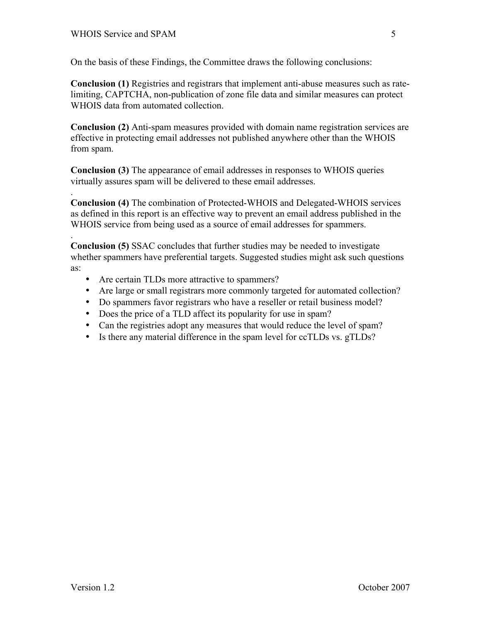.

.

On the basis of these Findings, the Committee draws the following conclusions:

**Conclusion (1)** Registries and registrars that implement anti-abuse measures such as ratelimiting, CAPTCHA, non-publication of zone file data and similar measures can protect WHOIS data from automated collection.

**Conclusion (2)** Anti-spam measures provided with domain name registration services are effective in protecting email addresses not published anywhere other than the WHOIS from spam.

**Conclusion (3)** The appearance of email addresses in responses to WHOIS queries virtually assures spam will be delivered to these email addresses.

**Conclusion (4)** The combination of Protected-WHOIS and Delegated-WHOIS services as defined in this report is an effective way to prevent an email address published in the WHOIS service from being used as a source of email addresses for spammers.

**Conclusion (5)** SSAC concludes that further studies may be needed to investigate whether spammers have preferential targets. Suggested studies might ask such questions as:

- Are certain TLDs more attractive to spammers?
- Are large or small registrars more commonly targeted for automated collection?
- Do spammers favor registrars who have a reseller or retail business model?
- Does the price of a TLD affect its popularity for use in spam?
- Can the registries adopt any measures that would reduce the level of spam?
- Is there any material difference in the spam level for ccTLDs vs. gTLDs?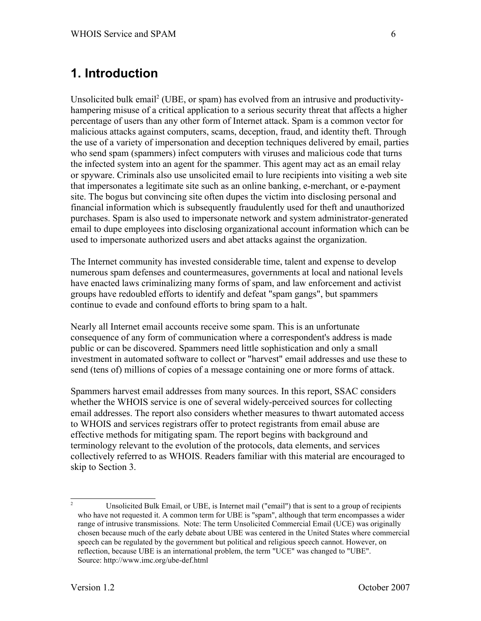## **1. Introduction**

Unsolicited bulk email<sup>[2](#page-5-0)</sup> (UBE, or spam) has evolved from an intrusive and productivityhampering misuse of a critical application to a serious security threat that affects a higher percentage of users than any other form of Internet attack. Spam is a common vector for malicious attacks against computers, scams, deception, fraud, and identity theft. Through the use of a variety of impersonation and deception techniques delivered by email, parties who send spam (spammers) infect computers with viruses and malicious code that turns the infected system into an agent for the spammer. This agent may act as an email relay or spyware. Criminals also use unsolicited email to lure recipients into visiting a web site that impersonates a legitimate site such as an online banking, e-merchant, or e-payment site. The bogus but convincing site often dupes the victim into disclosing personal and financial information which is subsequently fraudulently used for theft and unauthorized purchases. Spam is also used to impersonate network and system administrator-generated email to dupe employees into disclosing organizational account information which can be used to impersonate authorized users and abet attacks against the organization.

The Internet community has invested considerable time, talent and expense to develop numerous spam defenses and countermeasures, governments at local and national levels have enacted laws criminalizing many forms of spam, and law enforcement and activist groups have redoubled efforts to identify and defeat "spam gangs", but spammers continue to evade and confound efforts to bring spam to a halt.

Nearly all Internet email accounts receive some spam. This is an unfortunate consequence of any form of communication where a correspondent's address is made public or can be discovered. Spammers need little sophistication and only a small investment in automated software to collect or "harvest" email addresses and use these to send (tens of) millions of copies of a message containing one or more forms of attack.

Spammers harvest email addresses from many sources. In this report, SSAC considers whether the WHOIS service is one of several widely-perceived sources for collecting email addresses. The report also considers whether measures to thwart automated access to WHOIS and services registrars offer to protect registrants from email abuse are effective methods for mitigating spam. The report begins with background and terminology relevant to the evolution of the protocols, data elements, and services collectively referred to as WHOIS. Readers familiar with this material are encouraged to skip to Section 3.

<span id="page-5-0"></span><sup>2</sup> Unsolicited Bulk Email, or UBE, is Internet mail ("email") that is sent to a group of recipients who have not requested it. A common term for UBE is "spam", although that term encompasses a wider range of intrusive transmissions. Note: The term Unsolicited Commercial Email (UCE) was originally chosen because much of the early debate about UBE was centered in the United States where commercial speech can be regulated by the government but political and religious speech cannot. However, on reflection, because UBE is an international problem, the term "UCE" was changed to "UBE". Source: http://www.imc.org/ube-def.html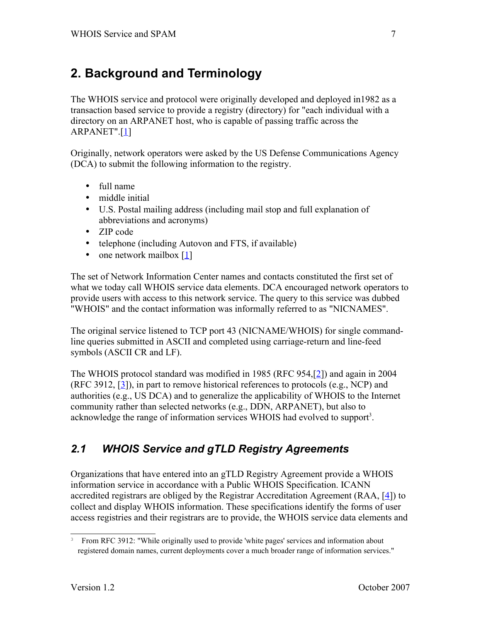# **2. Background and Terminology**

The WHOIS service and protocol were originally developed and deployed in1982 as a transaction based service to provide a registry (directory) for "each individual with a directory on an ARPANET host, who is capable of passing traffic across the ARPANET".[\[1](http://www.faqs.org/rfcs/rfc812.html)]

Originally, network operators were asked by the US Defense Communications Agency (DCA) to submit the following information to the registry.

- full name
- middle initial
- U.S. Postal mailing address (including mail stop and full explanation of abbreviations and acronyms)
- ZIP code
- telephone (including Autovon and FTS, if available)
- one network mailbox  $[1]$  $[1]$  $[1]$

The set of Network Information Center names and contacts constituted the first set of what we today call WHOIS service data elements. DCA encouraged network operators to provide users with access to this network service. The query to this service was dubbed "WHOIS" and the contact information was informally referred to as "NICNAMES".

The original service listened to TCP port 43 (NICNAME/WHOIS) for single commandline queries submitted in ASCII and completed using carriage-return and line-feed symbols (ASCII CR and LF).

The WHOIS protocol standard was modified in 1985 (RFC 954,[[2\]](http://www.ietf.org/rfc/rfc954.txt)) and again in 2004 (RFC 3912, [[3\]](http://www.ietf.org/rfc/rfc3912.txt)), in part to remove historical references to protocols (e.g., NCP) and authorities (e.g., US DCA) and to generalize the applicability of WHOIS to the Internet community rather than selected networks (e.g., DDN, ARPANET), but also to acknowledge the range of information services WHOIS had evolved to support<sup>[3](#page-6-0)</sup>.

## *2.1 WHOIS Service and gTLD Registry Agreements*

Organizations that have entered into an gTLD Registry Agreement provide a WHOIS information service in accordance with a Public WHOIS Specification. ICANN accredited registrars are obliged by the Registrar Accreditation Agreement (RAA,  $[4]$  $[4]$ ) to collect and display WHOIS information. These specifications identify the forms of user access registries and their registrars are to provide, the WHOIS service data elements and

<span id="page-6-0"></span><sup>3</sup> From RFC 3912: "While originally used to provide 'white pages' services and information about registered domain names, current deployments cover a much broader range of information services."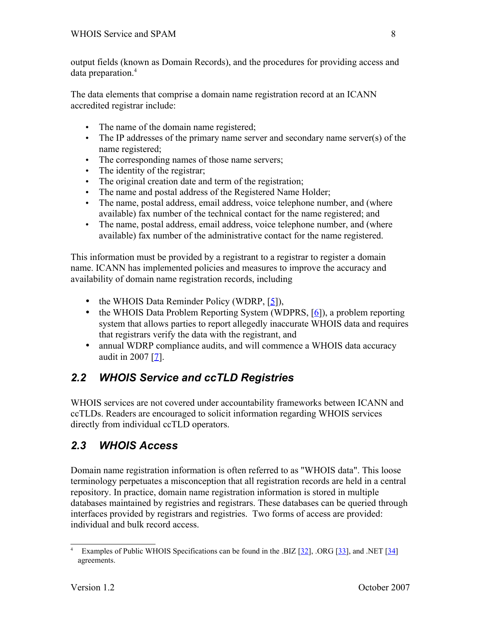output fields (known as Domain Records), and the procedures for providing access and data preparation.<sup>[4](#page-7-0)</sup>

The data elements that comprise a domain name registration record at an ICANN accredited registrar include:

- The name of the domain name registered;
- The IP addresses of the primary name server and secondary name server(s) of the name registered;
- The corresponding names of those name servers;
- The identity of the registrar;
- The original creation date and term of the registration;
- The name and postal address of the Registered Name Holder;
- The name, postal address, email address, voice telephone number, and (where available) fax number of the technical contact for the name registered; and
- The name, postal address, email address, voice telephone number, and (where available) fax number of the administrative contact for the name registered.

This information must be provided by a registrant to a registrar to register a domain name. ICANN has implemented policies and measures to improve the accuracy and availability of domain name registration records, including

- the WHOIS Data Reminder Policy (WDRP,  $[5]$  $[5]$ ),
- the WHOIS Data Problem Reporting System (WDPRS, [[6](http://www.icann.org/whois/whois-data-accuracy-program-27apr07.pdf)]), a problem reporting system that allows parties to report allegedly inaccurate WHOIS data and requires that registrars verify the data with the registrant, and
- annual WDRP compliance audits, and will commence a WHOIS data accuracy audit in 2007 [\[7](http://www.icann.org/whois/whois-data-accuracy-program-27apr07.pdf)].

## *2.2 WHOIS Service and ccTLD Registries*

WHOIS services are not covered under accountability frameworks between ICANN and ccTLDs. Readers are encouraged to solicit information regarding WHOIS services directly from individual ccTLD operators.

## *2.3 WHOIS Access*

Domain name registration information is often referred to as "WHOIS data". This loose terminology perpetuates a misconception that all registration records are held in a central repository. In practice, domain name registration information is stored in multiple databases maintained by registries and registrars. These databases can be queried through interfaces provided by registrars and registries. Two forms of access are provided: individual and bulk record access.

<span id="page-7-0"></span><sup>4</sup> Examples of Public WHOIS Specifications can be found in the .BIZ [[32\]](http://www.icann.org/tlds/agreements/biz/appendix-05-08dec06.htm), .ORG [[33\]](http://www.icann.org/tlds/agreements/org/appendix-05-08dec06.htm), and .NET [[34\]](http://www.icann.org/tlds/agreements/net/appendix5.html) agreements.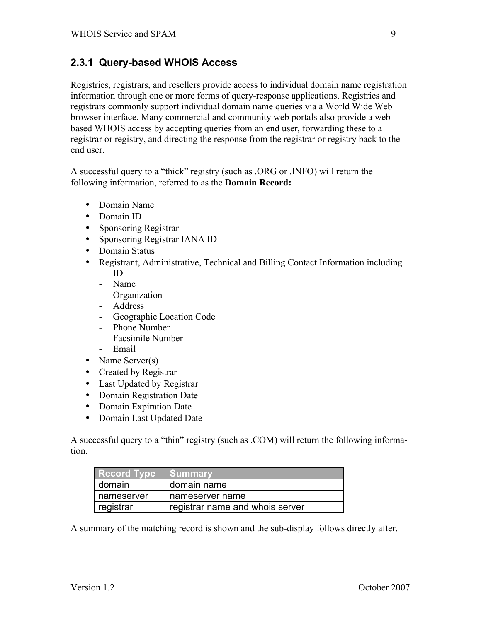#### **2.3.1 Query-based WHOIS Access**

Registries, registrars, and resellers provide access to individual domain name registration information through one or more forms of query-response applications. Registries and registrars commonly support individual domain name queries via a World Wide Web browser interface. Many commercial and community web portals also provide a webbased WHOIS access by accepting queries from an end user, forwarding these to a registrar or registry, and directing the response from the registrar or registry back to the end user.

A successful query to a "thick" registry (such as .ORG or .INFO) will return the following information, referred to as the **Domain Record:**

- Domain Name
- Domain ID
- Sponsoring Registrar
- Sponsoring Registrar IANA ID
- Domain Status
- Registrant, Administrative, Technical and Billing Contact Information including
	- ID
	- Name
	- Organization
	- Address
	- Geographic Location Code
	- Phone Number
	- Facsimile Number
	- Email
- Name Server(s)
- Created by Registrar
- Last Updated by Registrar
- Domain Registration Date
- Domain Expiration Date
- Domain Last Updated Date

A successful query to a "thin" registry (such as .COM) will return the following information.

| <b>Record Type</b> | <b>Summary</b>                  |
|--------------------|---------------------------------|
| domain             | domain name                     |
| I nameserver       | nameserver name                 |
| registrar          | registrar name and whois server |

A summary of the matching record is shown and the sub-display follows directly after.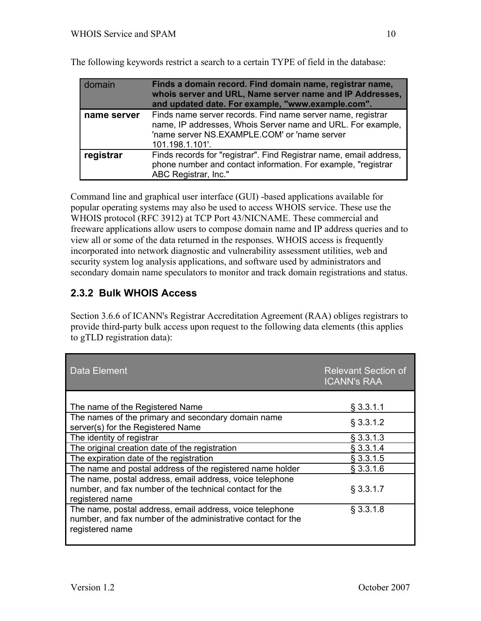| domain      | Finds a domain record. Find domain name, registrar name,<br>whois server and URL, Name server name and IP Addresses,<br>and updated date. For example, "www.example.com".                     |
|-------------|-----------------------------------------------------------------------------------------------------------------------------------------------------------------------------------------------|
| name server | Finds name server records. Find name server name, registrar<br>name, IP addresses, Whois Server name and URL. For example,<br>'name server NS.EXAMPLE.COM' or 'name server<br>101.198.1.101'. |
| registrar   | Finds records for "registrar". Find Registrar name, email address,<br>phone number and contact information. For example, "registrar<br>ABC Registrar, Inc."                                   |

The following keywords restrict a search to a certain TYPE of field in the database:

Command line and graphical user interface (GUI) -based applications available for popular operating systems may also be used to access WHOIS service. These use the WHOIS protocol (RFC 3912) at TCP Port 43/NICNAME. These commercial and freeware applications allow users to compose domain name and IP address queries and to view all or some of the data returned in the responses. WHOIS access is frequently incorporated into network diagnostic and vulnerability assessment utilities, web and security system log analysis applications, and software used by administrators and secondary domain name speculators to monitor and track domain registrations and status.

#### **2.3.2 Bulk WHOIS Access**

Section 3.6.6 of ICANN's Registrar Accreditation Agreement (RAA) obliges registrars to provide third-party bulk access upon request to the following data elements (this applies to gTLD registration data):

| Data Element                                                                                                                                | <b>Relevant Section of</b><br><b>ICANN's RAA</b> |
|---------------------------------------------------------------------------------------------------------------------------------------------|--------------------------------------------------|
|                                                                                                                                             |                                                  |
| The name of the Registered Name                                                                                                             | $§$ 3.3.1.1                                      |
| The names of the primary and secondary domain name<br>server(s) for the Registered Name                                                     | § 3.3.1.2                                        |
| The identity of registrar                                                                                                                   | § 3.3.1.3                                        |
| The original creation date of the registration                                                                                              | § 3.3.1.4                                        |
| The expiration date of the registration                                                                                                     | § 3.3.1.5                                        |
| The name and postal address of the registered name holder                                                                                   | \$3.3.1.6                                        |
| The name, postal address, email address, voice telephone                                                                                    |                                                  |
| number, and fax number of the technical contact for the<br>registered name                                                                  | § 3.3.1.7                                        |
| The name, postal address, email address, voice telephone<br>number, and fax number of the administrative contact for the<br>registered name | § 3.3.1.8                                        |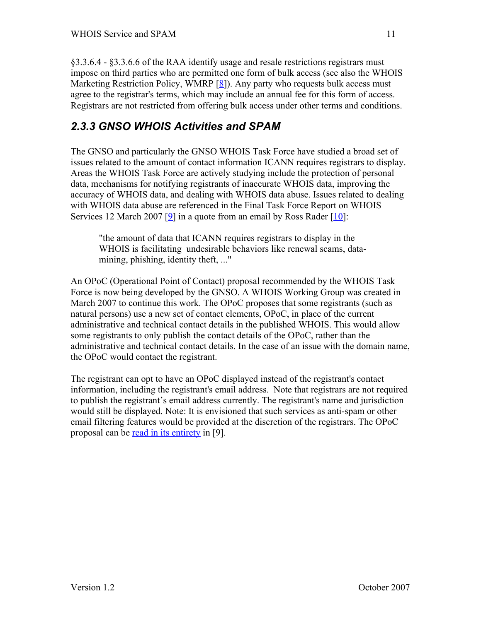§3.3.6.4 - §3.3.6.6 of the RAA identify usage and resale restrictions registrars must impose on third parties who are permitted one form of bulk access (see also the WHOIS Marketing Restriction Policy, WMRP  $[8]$  $[8]$  $[8]$ ). Any party who requests bulk access must agree to the registrar's terms, which may include an annual fee for this form of access. Registrars are not restricted from offering bulk access under other terms and conditions.

## *2.3.3 GNSO WHOIS Activities and SPAM*

The GNSO and particularly the GNSO WHOIS Task Force have studied a broad set of issues related to the amount of contact information ICANN requires registrars to display. Areas the WHOIS Task Force are actively studying include the protection of personal data, mechanisms for notifying registrants of inaccurate WHOIS data, improving the accuracy of WHOIS data, and dealing with WHOIS data abuse. Issues related to dealing with WHOIS data abuse are referenced in the Final Task Force Report on WHOIS Services 12 March 2007 [[9](http://gnso.icann.org/issues/whois-privacy/whois-services-final-tf-report-12mar07.htm)] in a quote from an email by Ross Rader [[10\]](http://gnso.icann.org/mailing-lists/archives/registrars/msg03687.html):

"the amount of data that ICANN requires registrars to display in the WHOIS is facilitating undesirable behaviors like renewal scams, datamining, phishing, identity theft, ..."

An OPoC (Operational Point of Contact) proposal recommended by the WHOIS Task Force is now being developed by the GNSO. A WHOIS Working Group was created in March 2007 to continue this work. The OPoC proposes that some registrants (such as natural persons) use a new set of contact elements, OPoC, in place of the current administrative and technical contact details in the published WHOIS. This would allow some registrants to only publish the contact details of the OPoC, rather than the administrative and technical contact details. In the case of an issue with the domain name, the OPoC would contact the registrant.

The registrant can opt to have an OPoC displayed instead of the registrant's contact information, including the registrant's email address. Note that registrars are not required to publish the registrant's email address currently. The registrant's name and jurisdiction would still be displayed. Note: It is envisioned that such services as anti-spam or other email filtering features would be provided at the discretion of the registrars. The OPoC proposal can be [read in its entirety](http://GNSO.icann.org/issues/WHOIS-privacy/WHOIS-services-final-tf-report-12mar07.htm) in [9].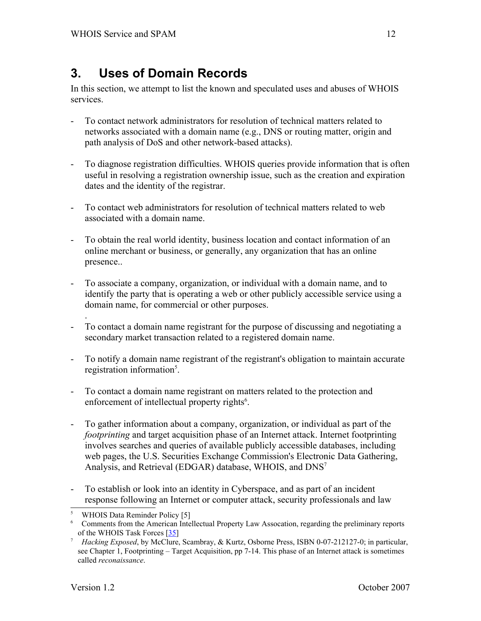## **3. Uses of Domain Records**

In this section, we attempt to list the known and speculated uses and abuses of WHOIS services.

- To contact network administrators for resolution of technical matters related to networks associated with a domain name (e.g., DNS or routing matter, origin and path analysis of DoS and other network-based attacks).
- To diagnose registration difficulties. WHOIS queries provide information that is often useful in resolving a registration ownership issue, such as the creation and expiration dates and the identity of the registrar.
- To contact web administrators for resolution of technical matters related to web associated with a domain name.
- To obtain the real world identity, business location and contact information of an online merchant or business, or generally, any organization that has an online presence..
- To associate a company, organization, or individual with a domain name, and to identify the party that is operating a web or other publicly accessible service using a domain name, for commercial or other purposes.
- . - To contact a domain name registrant for the purpose of discussing and negotiating a secondary market transaction related to a registered domain name.
- To notify a domain name registrant of the registrant's obligation to maintain accurate registration information<sup>[5](#page-11-0)</sup>.
- To contact a domain name registrant on matters related to the protection and enforcement of intellectual property rights<sup>[6](#page-11-1)</sup>.
- To gather information about a company, organization, or individual as part of the *footprinting* and target acquisition phase of an Internet attack. Internet footprinting involves searches and queries of available publicly accessible databases, including web pages, the U.S. Securities Exchange Commission's Electronic Data Gathering, Analysis, and Retrieval (EDGAR) database, WHOIS, and DNS [7](#page-11-2)
- To establish or look into an identity in Cyberspace, and as part of an incident response following an Internet or computer attack, security professionals and law

<span id="page-11-0"></span><sup>5</sup> WHOIS Data Reminder Policy [5]

<span id="page-11-1"></span><sup>6</sup> Comments from the American Intellectual Property Law Assocation, regarding the preliminary reports of the WHOIS Task Forces [\[35](http://www.aipla.org/Content/ContentGroups/Issues_and_Advocacy/Comments2/Domain_Name_Comments/WhoisComments.pdf)]

<span id="page-11-2"></span><sup>7</sup>  *Hacking Exposed*, by McClure, Scambray, & Kurtz, Osborne Press, ISBN 0-07-212127-0; in particular, see Chapter 1, Footprinting – Target Acquisition, pp 7-14. This phase of an Internet attack is sometimes called *reconaissance*.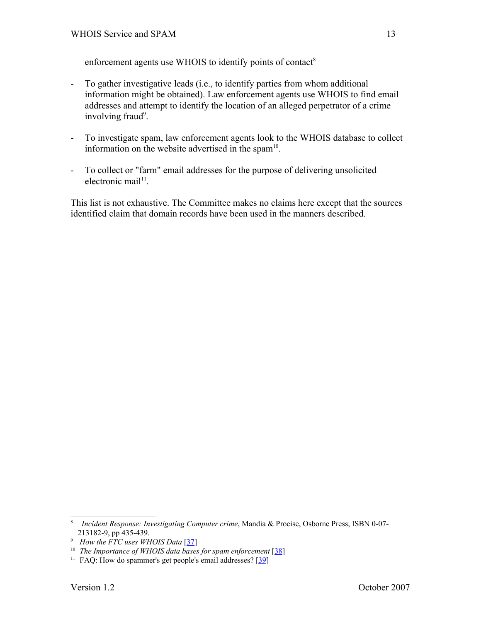enforcement agents use WHOIS to identify points of contact<sup>[8](#page-12-0)</sup>

- To gather investigative leads (i.e., to identify parties from whom additional information might be obtained). Law enforcement agents use WHOIS to find email addresses and attempt to identify the location of an alleged perpetrator of a crime involving fraud<sup>[9](#page-12-1)</sup>.
- To investigate spam, law enforcement agents look to the WHOIS database to collect information on the website advertised in the spam<sup>[10](#page-12-2)</sup>.
- To collect or "farm" email addresses for the purpose of delivering unsolicited electronic mail<sup>[11](#page-12-3)</sup>.

This list is not exhaustive. The Committee makes no claims here except that the sources identified claim that domain records have been used in the manners described.

<span id="page-12-0"></span><sup>8</sup> *Incident Response: Investigating Computer crime*, Mandia & Procise, Osborne Press, ISBN 0-07- 213182-9, pp 435-439.

<span id="page-12-1"></span><sup>&</sup>lt;sup>9</sup> *How the FTC uses WHOIS Data* [[37\]](http://www.icann.org/presentations/mithal-WHOIS-workshop-24jun03.pdf)

<span id="page-12-2"></span><sup>&</sup>lt;sup>10</sup> The Importance of WHOIS data bases for spam enforcement [[38\]](http://www.icann.org/presentations/opta-mar-26jun06.pdf)

<span id="page-12-3"></span><sup>&</sup>lt;sup>11</sup> FAQ: How do spammer's get people's email addresses?  $[39]$  $[39]$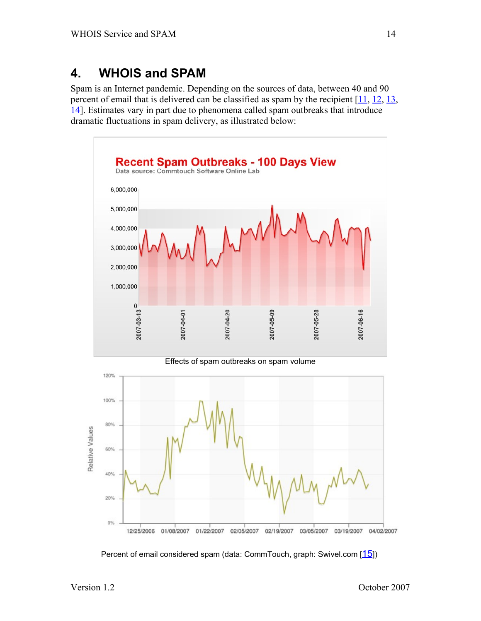## **4. WHOIS and SPAM**

Spam is an Internet pandemic. Depending on the sources of data, between 40 and 90 percent of email that is delivered can be classified as spam by the recipient  $[11, 12, 13, 13]$  $[11, 12, 13, 13]$  $[11, 12, 13, 13]$  $[11, 12, 13, 13]$  $[11, 12, 13, 13]$  $[11, 12, 13, 13]$  $[11, 12, 13, 13]$ [14](http://www.postini.com/stats/index.php)]. Estimates vary in part due to phenomena called spam outbreaks that introduce dramatic fluctuations in spam delivery, as illustrated below:



Percent of email considered spam (data: CommTouch, graph: Swivel.com [[15](http://www.swivel.com/graphs/show/9135865)])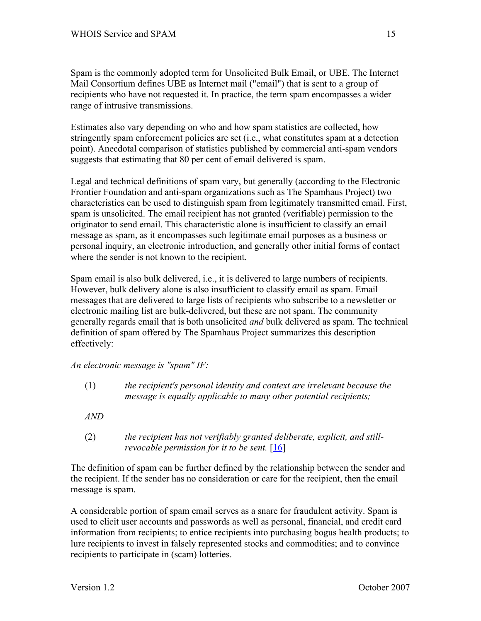Spam is the commonly adopted term for Unsolicited Bulk Email, or UBE. The Internet Mail Consortium defines UBE as Internet mail ("email") that is sent to a group of recipients who have not requested it. In practice, the term spam encompasses a wider range of intrusive transmissions.

Estimates also vary depending on who and how spam statistics are collected, how stringently spam enforcement policies are set (i.e., what constitutes spam at a detection point). Anecdotal comparison of statistics published by commercial anti-spam vendors suggests that estimating that 80 per cent of email delivered is spam.

Legal and technical definitions of spam vary, but generally (according to the Electronic Frontier Foundation and anti-spam organizations such as The Spamhaus Project) two characteristics can be used to distinguish spam from legitimately transmitted email. First, spam is unsolicited. The email recipient has not granted (verifiable) permission to the originator to send email. This characteristic alone is insufficient to classify an email message as spam, as it encompasses such legitimate email purposes as a business or personal inquiry, an electronic introduction, and generally other initial forms of contact where the sender is not known to the recipient.

Spam email is also bulk delivered, i.e., it is delivered to large numbers of recipients. However, bulk delivery alone is also insufficient to classify email as spam. Email messages that are delivered to large lists of recipients who subscribe to a newsletter or electronic mailing list are bulk-delivered, but these are not spam. The community generally regards email that is both unsolicited *and* bulk delivered as spam. The technical definition of spam offered by The Spamhaus Project summarizes this description effectively:

*An electronic message is "spam" IF:*

- (1) *the recipient's personal identity and context are irrelevant because the message is equally applicable to many other potential recipients;*
- *AND*
- (2) *the recipient has not verifiably granted deliberate, explicit, and stillrevocable permission for it to be sent.* [[16\]](http://www.spamhaus.org/definition.html)

The definition of spam can be further defined by the relationship between the sender and the recipient. If the sender has no consideration or care for the recipient, then the email message is spam.

A considerable portion of spam email serves as a snare for fraudulent activity. Spam is used to elicit user accounts and passwords as well as personal, financial, and credit card information from recipients; to entice recipients into purchasing bogus health products; to lure recipients to invest in falsely represented stocks and commodities; and to convince recipients to participate in (scam) lotteries.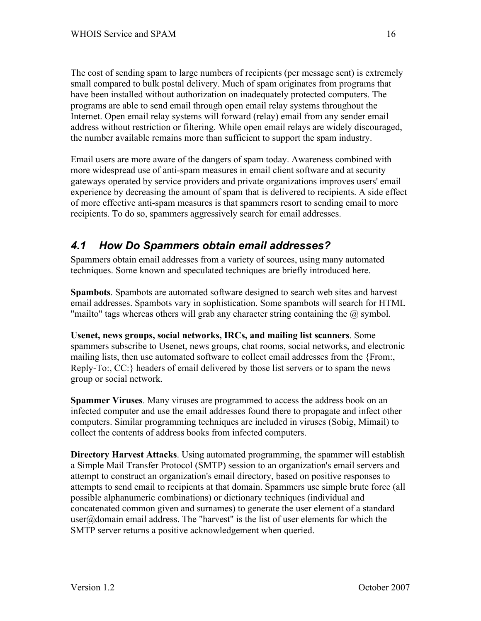The cost of sending spam to large numbers of recipients (per message sent) is extremely small compared to bulk postal delivery. Much of spam originates from programs that have been installed without authorization on inadequately protected computers. The programs are able to send email through open email relay systems throughout the Internet. Open email relay systems will forward (relay) email from any sender email address without restriction or filtering. While open email relays are widely discouraged, the number available remains more than sufficient to support the spam industry.

Email users are more aware of the dangers of spam today. Awareness combined with more widespread use of anti-spam measures in email client software and at security gateways operated by service providers and private organizations improves users' email experience by decreasing the amount of spam that is delivered to recipients. A side effect of more effective anti-spam measures is that spammers resort to sending email to more recipients. To do so, spammers aggressively search for email addresses.

#### *4.1 How Do Spammers obtain email addresses?*

Spammers obtain email addresses from a variety of sources, using many automated techniques. Some known and speculated techniques are briefly introduced here.

**Spambots**. Spambots are automated software designed to search web sites and harvest email addresses. Spambots vary in sophistication. Some spambots will search for HTML "mailto" tags whereas others will grab any character string containing the  $\omega$  symbol.

**Usenet, news groups, social networks, IRCs, and mailing list scanners**. Some spammers subscribe to Usenet, news groups, chat rooms, social networks, and electronic mailing lists, then use automated software to collect email addresses from the {From:, Reply-To:, CC:} headers of email delivered by those list servers or to spam the news group or social network.

**Spammer Viruses**. Many viruses are programmed to access the address book on an infected computer and use the email addresses found there to propagate and infect other computers. Similar programming techniques are included in viruses (Sobig, Mimail) to collect the contents of address books from infected computers.

**Directory Harvest Attacks**. Using automated programming, the spammer will establish a Simple Mail Transfer Protocol (SMTP) session to an organization's email servers and attempt to construct an organization's email directory, based on positive responses to attempts to send email to recipients at that domain. Spammers use simple brute force (all possible alphanumeric combinations) or dictionary techniques (individual and concatenated common given and surnames) to generate the user element of a standard user@domain email address. The "harvest" is the list of user elements for which the SMTP server returns a positive acknowledgement when queried.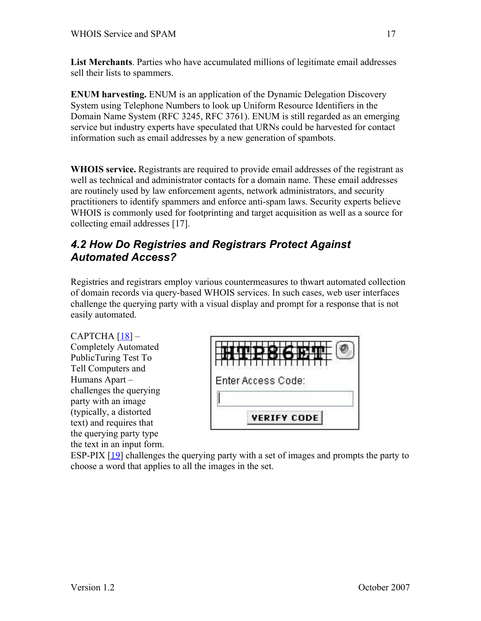**List Merchants**. Parties who have accumulated millions of legitimate email addresses sell their lists to spammers.

**ENUM harvesting.** ENUM is an application of the Dynamic Delegation Discovery System using Telephone Numbers to look up Uniform Resource Identifiers in the Domain Name System (RFC 3245, RFC 3761). ENUM is still regarded as an emerging service but industry experts have speculated that URNs could be harvested for contact information such as email addresses by a new generation of spambots.

**WHOIS service.** Registrants are required to provide email addresses of the registrant as well as technical and administrator contacts for a domain name. These email addresses are routinely used by law enforcement agents, network administrators, and security practitioners to identify spammers and enforce anti-spam laws. Security experts believe WHOIS is commonly used for footprinting and target acquisition as well as a source for collecting email addresses [17].

#### *4.2 How Do Registries and Registrars Protect Against Automated Access?*

Registries and registrars employ various countermeasures to thwart automated collection of domain records via query-based WHOIS services. In such cases, web user interfaces challenge the querying party with a visual display and prompt for a response that is not easily automated.

 $CAPTCHA [18]$  $CAPTCHA [18]$  $CAPTCHA [18]$  – Completely Automated PublicTuring Test To Tell Computers and Humans Apart – challenges the querying party with an image (typically, a distorted text) and requires that the querying party type the text in an input form.

| Enter Access Code: |                    |
|--------------------|--------------------|
|                    |                    |
|                    |                    |
|                    | <b>VERIFY CODE</b> |

ESP-PIX [\[19](http://www.captcha.net/cgi-bin/esp-pix)] challenges the querying party with a set of images and prompts the party to choose a word that applies to all the images in the set.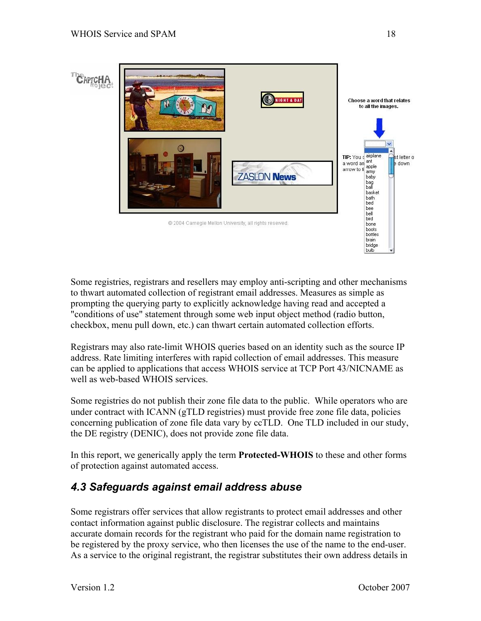

Some registries, registrars and resellers may employ anti-scripting and other mechanisms to thwart automated collection of registrant email addresses. Measures as simple as prompting the querying party to explicitly acknowledge having read and accepted a "conditions of use" statement through some web input object method (radio button, checkbox, menu pull down, etc.) can thwart certain automated collection efforts.

Registrars may also rate-limit WHOIS queries based on an identity such as the source IP address. Rate limiting interferes with rapid collection of email addresses. This measure can be applied to applications that access WHOIS service at TCP Port 43/NICNAME as well as web-based WHOIS services.

Some registries do not publish their zone file data to the public. While operators who are under contract with ICANN (gTLD registries) must provide free zone file data, policies concerning publication of zone file data vary by ccTLD. One TLD included in our study, the DE registry (DENIC), does not provide zone file data.

In this report, we generically apply the term **Protected-WHOIS** to these and other forms of protection against automated access.

## *4.3 Safeguards against email address abuse*

Some registrars offer services that allow registrants to protect email addresses and other contact information against public disclosure. The registrar collects and maintains accurate domain records for the registrant who paid for the domain name registration to be registered by the proxy service, who then licenses the use of the name to the end-user. As a service to the original registrant, the registrar substitutes their own address details in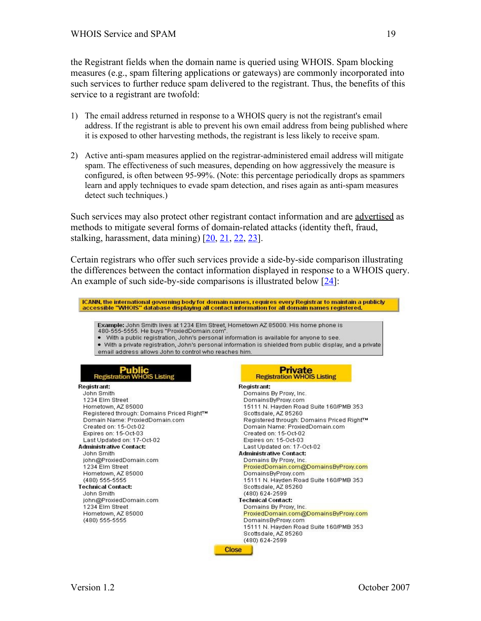the Registrant fields when the domain name is queried using WHOIS. Spam blocking measures (e.g., spam filtering applications or gateways) are commonly incorporated into such services to further reduce spam delivered to the registrant. Thus, the benefits of this service to a registrant are twofold:

- 1) The email address returned in response to a WHOIS query is not the registrant's email address. If the registrant is able to prevent his own email address from being published where it is exposed to other harvesting methods, the registrant is less likely to receive spam.
- 2) Active anti-spam measures applied on the registrar-administered email address will mitigate spam. The effectiveness of such measures, depending on how aggressively the measure is configured, is often between 95-99%. (Note: this percentage periodically drops as spammers learn and apply techniques to evade spam detection, and rises again as anti-spam measures detect such techniques.)

Such services may also protect other registrant contact information and are advertised as methods to mitigate several forms of domain-related attacks (identity theft, fraud, stalking, harassment, data mining)  $[20, 21, 22, 23]$  $[20, 21, 22, 23]$  $[20, 21, 22, 23]$  $[20, 21, 22, 23]$  $[20, 21, 22, 23]$  $[20, 21, 22, 23]$  $[20, 21, 22, 23]$  $[20, 21, 22, 23]$  $[20, 21, 22, 23]$ .

Certain registrars who offer such services provide a side-by-side comparison illustrating the differences between the contact information displayed in response to a WHOIS query. An example of such side-by-side comparisons is illustrated below  $[24]$  $[24]$ :

ICANN, the international governing body for domain names, requires every Registrar to maintain a publicly accessible "WHOIS" database displaying all contact information for all domain names registered.

Example: John Smith lives at 1234 Elm Street, Hometown AZ 85000. His home phone is 480-555-5555. He buys "ProxiedDomain.com"

. With a public registration, John's personal information is available for anyone to see.

. With a private registration, John's personal information is shielded from public display, and a private email address allows John to control who reaches him.

|                           | <b>Public</b> |  |  |
|---------------------------|---------------|--|--|
| λegistration WHOIS Listin |               |  |  |

Registrant: John Smith 1234 Elm Street Hometown, AZ 85000 Registered through: Domains Priced Right™ Domain Name: ProxiedDomain.com Created on: 15-Oct-02 Expires on: 15-Oct-03 Last Updated on: 17-Oct-02 **Administrative Contact:** John Smith john@ProxiedDomain.com 1234 Elm Street Hometown, AZ 85000 (480) 555-5555 **Technical Contact:** John Smith john@ProxiedDomain.com 1234 Elm Street Hometown, AZ 85000 (480) 555-5555

#### Private **Registration WHOIS Listing**

**Registrant:** Domains By Proxy, Inc. DomainsByProxy.com 15111 N. Hayden Road Suite 160/PMB 353 Scottsdale, AZ 85260 Registered through: Domains Priced Right™ Domain Name: ProxiedDomain.com Created on: 15-Oct-02 Expires on: 15-Oct-03 Last Updated on: 17-Oct-02 **Administrative Contact:** Domains By Proxy, Inc. ProxiedDomain.com@DomainsByProxy.com DomainsByProxy.com 15111 N. Hayden Road Suite 160/PMB 353 Scottsdale, AZ 85260 (480) 624-2599 **Technical Contact:** Domains By Proxy, Inc. ProxiedDomain.com@DomainsByProxy.com DomainsByProxy.com 15111 N. Hayden Road Suite 160/PMB 353 Scottsdale, AZ 85260 (480) 624-2599 **Close**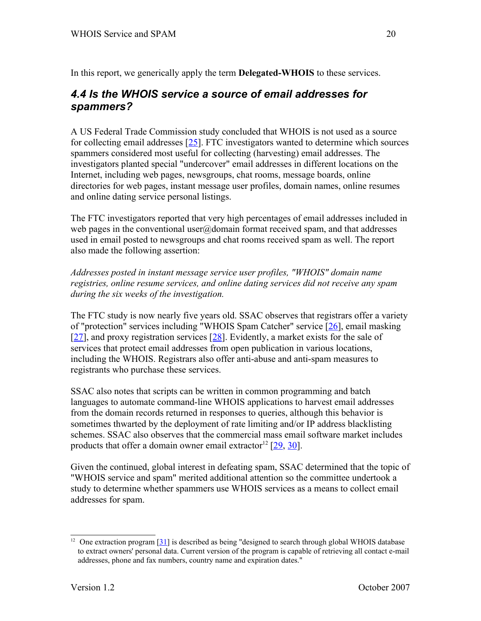In this report, we generically apply the term **Delegated-WHOIS** to these services.

#### *4.4 Is the WHOIS service a source of email addresses for spammers?*

A US Federal Trade Commission study concluded that WHOIS is not used as a source for collecting email addresses [[25](http://www.ftc.gov/bcp/conline/pubs/alerts/spamalrt.htm)]. FTC investigators wanted to determine which sources spammers considered most useful for collecting (harvesting) email addresses. The investigators planted special "undercover" email addresses in different locations on the Internet, including web pages, newsgroups, chat rooms, message boards, online directories for web pages, instant message user profiles, domain names, online resumes and online dating service personal listings.

The FTC investigators reported that very high percentages of email addresses included in web pages in the conventional user $@$  domain format received spam, and that addresses used in email posted to newsgroups and chat rooms received spam as well. The report also made the following assertion:

*Addresses posted in instant message service user profiles, "WHOIS" domain name registries, online resume services, and online dating services did not receive any spam during the six weeks of the investigation.*

The FTC study is now nearly five years old. SSAC observes that registrars offer a variety of "protection" services including "WHOIS Spam Catcher" service [\[26](https://domains.jumpdomain.com/index.cgi?page=spam_catcher.tmpl)], email masking [[27](http://www.networksolutions.com/domain-name-registration/private.jsp)], and proxy registration services [[28\]](http://www.active-domain.com/whois-proof.htm). Evidently, a market exists for the sale of services that protect email addresses from open publication in various locations, including the WHOIS. Registrars also offer anti-abuse and anti-spam measures to registrants who purchase these services.

SSAC also notes that scripts can be written in common programming and batch languages to automate command-line WHOIS applications to harvest email addresses from the domain records returned in responses to queries, although this behavior is sometimes thwarted by the deployment of rate limiting and/or IP address blacklisting schemes. SSAC also observes that the commercial mass email software market includes products that offer a domain owner email extractor<sup>[12](#page-19-0)</sup>  $[29, 30]$  $[29, 30]$  $[29, 30]$  $[29, 30]$ .

Given the continued, global interest in defeating spam, SSAC determined that the topic of "WHOIS service and spam" merited additional attention so the committee undertook a study to determine whether spammers use WHOIS services as a means to collect email addresses for spam.

<span id="page-19-0"></span><sup>&</sup>lt;sup>12</sup> One extraction program  $[31]$  $[31]$  is described as being "designed to search through global WHOIS database to extract owners' personal data. Current version of the program is capable of retrieving all contact e-mail addresses, phone and fax numbers, country name and expiration dates."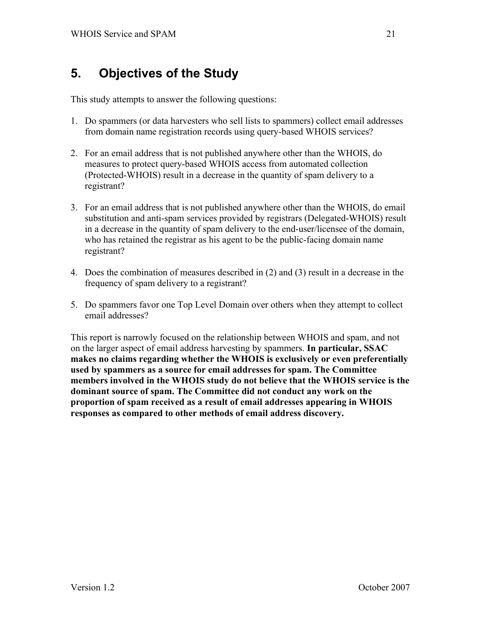# **5. Objectives of the Study**

This study attempts to answer the following questions:

- 1. Do spammers (or data harvesters who sell lists to spammers) collect email addresses from domain name registration records using query-based WHOIS services?
- 2. For an email address that is not published anywhere other than the WHOIS, do measures to protect query-based WHOIS access from automated collection (Protected-WHOIS) result in a decrease in the quantity of spam delivery to a registrant?
- 3. For an email address that is not published anywhere other than the WHOIS, do email substitution and anti-spam services provided by registrars (Delegated-WHOIS) result in a decrease in the quantity of spam delivery to the end-user/licensee of the domain, who has retained the registrar as his agent to be the public-facing domain name registrant?
- 4. Does the combination of measures described in (2) and (3) result in a decrease in the frequency of spam delivery to a registrant?
- 5. Do spammers favor one Top Level Domain over others when they attempt to collect email addresses?

This report is narrowly focused on the relationship between WHOIS and spam, and not on the larger aspect of email address harvesting by spammers. **In particular, SSAC makes no claims regarding whether the WHOIS is exclusively or even preferentially used by spammers as a source for email addresses for spam. The Committee members involved in the WHOIS study do not believe that the WHOIS service is the dominant source of spam. The Committee did not conduct any work on the proportion of spam received as a result of email addresses appearing in WHOIS responses as compared to other methods of email address discovery.**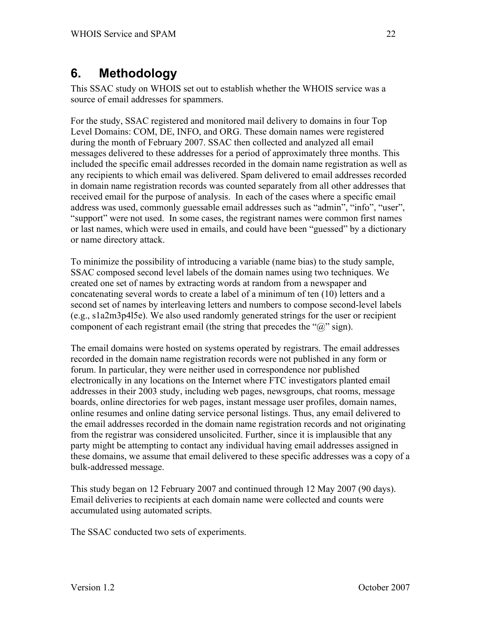# **6. Methodology**

This SSAC study on WHOIS set out to establish whether the WHOIS service was a source of email addresses for spammers.

For the study, SSAC registered and monitored mail delivery to domains in four Top Level Domains: COM, DE, INFO, and ORG. These domain names were registered during the month of February 2007. SSAC then collected and analyzed all email messages delivered to these addresses for a period of approximately three months. This included the specific email addresses recorded in the domain name registration as well as any recipients to which email was delivered. Spam delivered to email addresses recorded in domain name registration records was counted separately from all other addresses that received email for the purpose of analysis. In each of the cases where a specific email address was used, commonly guessable email addresses such as "admin", "info", "user", "support" were not used. In some cases, the registrant names were common first names or last names, which were used in emails, and could have been "guessed" by a dictionary or name directory attack.

To minimize the possibility of introducing a variable (name bias) to the study sample, SSAC composed second level labels of the domain names using two techniques. We created one set of names by extracting words at random from a newspaper and concatenating several words to create a label of a minimum of ten (10) letters and a second set of names by interleaving letters and numbers to compose second-level labels (e.g., s1a2m3p4l5e). We also used randomly generated strings for the user or recipient component of each registrant email (the string that precedes the " $\hat{a}$ " sign).

The email domains were hosted on systems operated by registrars. The email addresses recorded in the domain name registration records were not published in any form or forum. In particular, they were neither used in correspondence nor published electronically in any locations on the Internet where FTC investigators planted email addresses in their 2003 study, including web pages, newsgroups, chat rooms, message boards, online directories for web pages, instant message user profiles, domain names, online resumes and online dating service personal listings. Thus, any email delivered to the email addresses recorded in the domain name registration records and not originating from the registrar was considered unsolicited. Further, since it is implausible that any party might be attempting to contact any individual having email addresses assigned in these domains, we assume that email delivered to these specific addresses was a copy of a bulk-addressed message.

This study began on 12 February 2007 and continued through 12 May 2007 (90 days). Email deliveries to recipients at each domain name were collected and counts were accumulated using automated scripts.

The SSAC conducted two sets of experiments.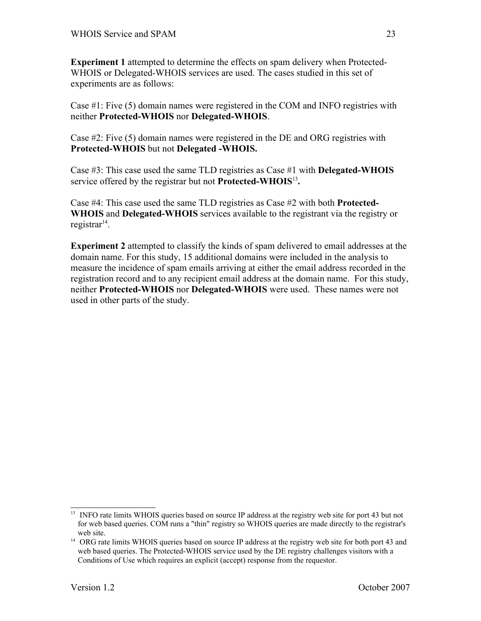**Experiment 1** attempted to determine the effects on spam delivery when Protected-WHOIS or Delegated-WHOIS services are used. The cases studied in this set of experiments are as follows:

Case #1: Five (5) domain names were registered in the COM and INFO registries with neither **Protected-WHOIS** nor **Delegated-WHOIS**.

Case #2: Five (5) domain names were registered in the DE and ORG registries with **Protected-WHOIS** but not **Delegated -WHOIS.**

Case #3: This case used the same TLD registries as Case #1 with **Delegated-WHOIS** service offered by the registrar but not **Protected-WHOIS** [13](#page-22-0) **.**

Case #4: This case used the same TLD registries as Case #2 with both **Protected-WHOIS** and **Delegated-WHOIS** services available to the registrant via the registry or registrar<sup>[14](#page-22-1)</sup>.

**Experiment 2** attempted to classify the kinds of spam delivered to email addresses at the domain name. For this study, 15 additional domains were included in the analysis to measure the incidence of spam emails arriving at either the email address recorded in the registration record and to any recipient email address at the domain name. For this study, neither **Protected-WHOIS** nor **Delegated-WHOIS** were used. These names were not used in other parts of the study.

<span id="page-22-0"></span><sup>&</sup>lt;sup>13</sup> INFO rate limits WHOIS queries based on source IP address at the registry web site for port 43 but not for web based queries. COM runs a "thin" registry so WHOIS queries are made directly to the registrar's web site.

<span id="page-22-1"></span><sup>&</sup>lt;sup>14</sup> ORG rate limits WHOIS queries based on source IP address at the registry web site for both port 43 and web based queries. The Protected-WHOIS service used by the DE registry challenges visitors with a Conditions of Use which requires an explicit (accept) response from the requestor.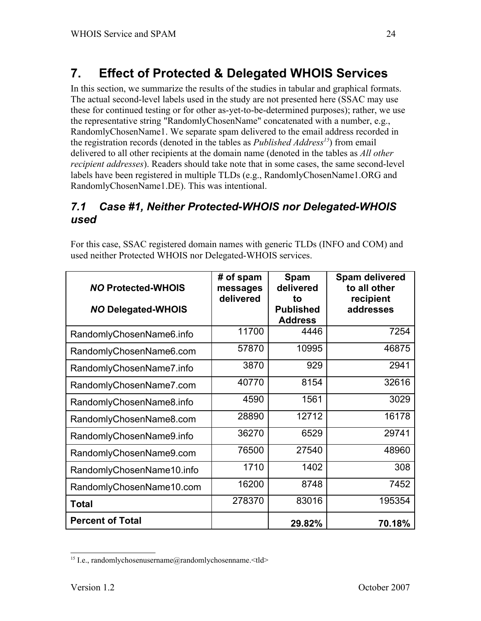# **7. Effect of Protected & Delegated WHOIS Services**

In this section, we summarize the results of the studies in tabular and graphical formats. The actual second-level labels used in the study are not presented here (SSAC may use these for continued testing or for other as-yet-to-be-determined purposes); rather, we use the representative string "RandomlyChosenName" concatenated with a number, e.g., RandomlyChosenName1. We separate spam delivered to the email address recorded in the registration records (denoted in the tables as *Published Address [15](#page-23-0)* ) from email delivered to all other recipients at the domain name (denoted in the tables as *All other recipient addresses*). Readers should take note that in some cases, the same second-level labels have been registered in multiple TLDs (e.g., RandomlyChosenName1.ORG and RandomlyChosenName1.DE). This was intentional.

#### *7.1 Case #1, Neither Protected-WHOIS nor Delegated-WHOIS used*

For this case, SSAC registered domain names with generic TLDs (INFO and COM) and used neither Protected WHOIS nor Delegated-WHOIS services.

| <b>NO Protected-WHOIS</b><br><b>NO Delegated-WHOIS</b> | # of spam<br>messages<br>delivered | Spam<br>delivered<br>to<br><b>Published</b><br><b>Address</b> | Spam delivered<br>to all other<br>recipient<br>addresses |
|--------------------------------------------------------|------------------------------------|---------------------------------------------------------------|----------------------------------------------------------|
| RandomlyChosenName6.info                               | 11700                              | 4446                                                          | 7254                                                     |
| RandomlyChosenName6.com                                | 57870                              | 10995                                                         | 46875                                                    |
| RandomlyChosenName7.info                               | 3870                               | 929                                                           | 2941                                                     |
| RandomlyChosenName7.com                                | 40770                              | 8154                                                          | 32616                                                    |
| RandomlyChosenName8.info                               | 4590                               | 1561                                                          | 3029                                                     |
| RandomlyChosenName8.com                                | 28890                              | 12712                                                         | 16178                                                    |
| RandomlyChosenName9.info                               | 36270                              | 6529                                                          | 29741                                                    |
| RandomlyChosenName9.com                                | 76500                              | 27540                                                         | 48960                                                    |
| RandomlyChosenName10.info                              | 1710                               | 1402                                                          | 308                                                      |
| RandomlyChosenName10.com                               | 16200                              | 8748                                                          | 7452                                                     |
| <b>Total</b>                                           | 278370                             | 83016                                                         | 195354                                                   |
| <b>Percent of Total</b>                                |                                    | 29.82%                                                        | 70.18%                                                   |

<span id="page-23-0"></span><sup>&</sup>lt;sup>15</sup> I.e., randomlychosenusername@randomlychosenname.<tld>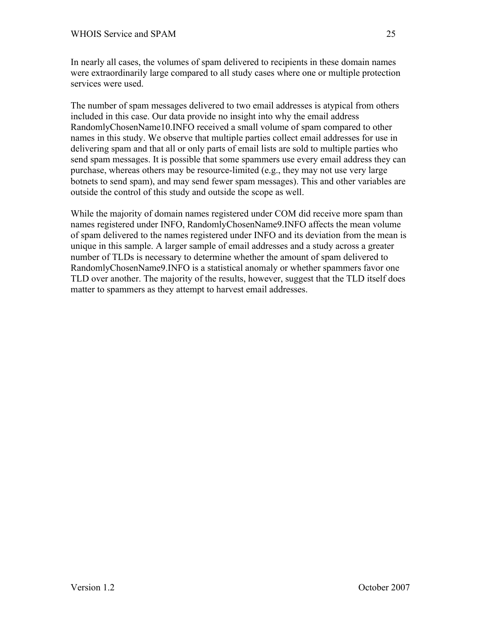In nearly all cases, the volumes of spam delivered to recipients in these domain names were extraordinarily large compared to all study cases where one or multiple protection services were used.

The number of spam messages delivered to two email addresses is atypical from others included in this case. Our data provide no insight into why the email address RandomlyChosenName10.INFO received a small volume of spam compared to other names in this study. We observe that multiple parties collect email addresses for use in delivering spam and that all or only parts of email lists are sold to multiple parties who send spam messages. It is possible that some spammers use every email address they can purchase, whereas others may be resource-limited (e.g., they may not use very large botnets to send spam), and may send fewer spam messages). This and other variables are outside the control of this study and outside the scope as well.

While the majority of domain names registered under COM did receive more spam than names registered under INFO, RandomlyChosenName9.INFO affects the mean volume of spam delivered to the names registered under INFO and its deviation from the mean is unique in this sample. A larger sample of email addresses and a study across a greater number of TLDs is necessary to determine whether the amount of spam delivered to RandomlyChosenName9.INFO is a statistical anomaly or whether spammers favor one TLD over another. The majority of the results, however, suggest that the TLD itself does matter to spammers as they attempt to harvest email addresses.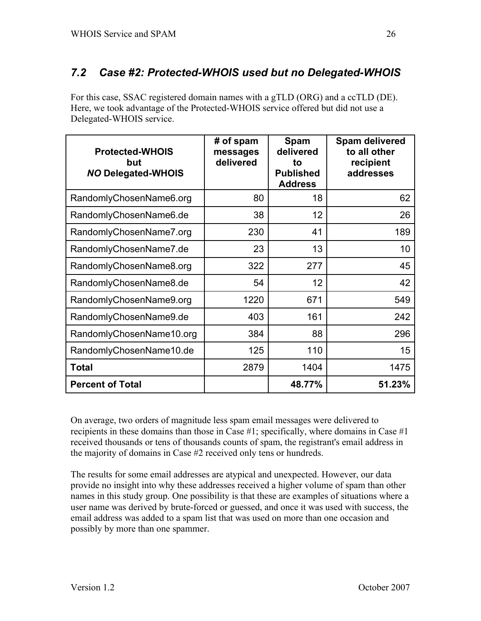## *7.2 Case #2: Protected-WHOIS used but no Delegated-WHOIS*

For this case, SSAC registered domain names with a gTLD (ORG) and a ccTLD (DE). Here, we took advantage of the Protected-WHOIS service offered but did not use a Delegated-WHOIS service.

| <b>Protected-WHOIS</b><br>but<br><b>NO Delegated-WHOIS</b> | # of spam<br>messages<br>delivered | Spam<br>delivered<br>to<br><b>Published</b><br><b>Address</b> | Spam delivered<br>to all other<br>recipient<br>addresses |
|------------------------------------------------------------|------------------------------------|---------------------------------------------------------------|----------------------------------------------------------|
| RandomlyChosenName6.org                                    | 80                                 | 18                                                            | 62                                                       |
| RandomlyChosenName6.de                                     | 38                                 | 12                                                            | 26                                                       |
| RandomlyChosenName7.org                                    | 230                                | 41                                                            | 189                                                      |
| RandomlyChosenName7.de                                     | 23                                 | 13                                                            | 10                                                       |
| RandomlyChosenName8.org                                    | 322                                | 277                                                           | 45                                                       |
| RandomlyChosenName8.de                                     | 54                                 | 12                                                            | 42                                                       |
| RandomlyChosenName9.org                                    | 1220                               | 671                                                           | 549                                                      |
| RandomlyChosenName9.de                                     | 403                                | 161                                                           | 242                                                      |
| RandomlyChosenName10.org                                   | 384                                | 88                                                            | 296                                                      |
| RandomlyChosenName10.de                                    | 125                                | 110                                                           | 15                                                       |
| Total                                                      | 2879                               | 1404                                                          | 1475                                                     |
| <b>Percent of Total</b>                                    |                                    | 48.77%                                                        | 51.23%                                                   |

On average, two orders of magnitude less spam email messages were delivered to recipients in these domains than those in Case #1; specifically, where domains in Case #1 received thousands or tens of thousands counts of spam, the registrant's email address in the majority of domains in Case #2 received only tens or hundreds.

The results for some email addresses are atypical and unexpected. However, our data provide no insight into why these addresses received a higher volume of spam than other names in this study group. One possibility is that these are examples of situations where a user name was derived by brute-forced or guessed, and once it was used with success, the email address was added to a spam list that was used on more than one occasion and possibly by more than one spammer.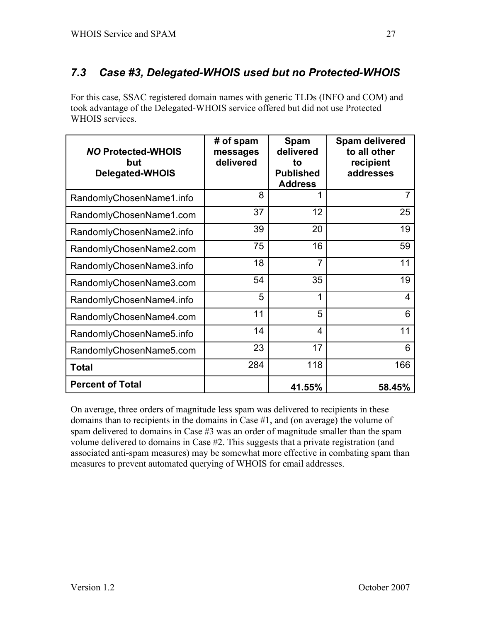## *7.3 Case #3, Delegated-WHOIS used but no Protected-WHOIS*

For this case, SSAC registered domain names with generic TLDs (INFO and COM) and took advantage of the Delegated-WHOIS service offered but did not use Protected WHOIS services.

| <b>NO Protected-WHOIS</b><br>but<br><b>Delegated-WHOIS</b> | # of spam<br>messages<br>delivered | <b>Spam</b><br>delivered<br>to<br><b>Published</b><br><b>Address</b> | Spam delivered<br>to all other<br>recipient<br>addresses |
|------------------------------------------------------------|------------------------------------|----------------------------------------------------------------------|----------------------------------------------------------|
| RandomlyChosenName1.info                                   | 8                                  |                                                                      | 7                                                        |
| RandomlyChosenName1.com                                    | 37                                 | 12                                                                   | 25                                                       |
| RandomlyChosenName2.info                                   | 39                                 | 20                                                                   | 19                                                       |
| RandomlyChosenName2.com                                    | 75                                 | 16                                                                   | 59                                                       |
| RandomlyChosenName3.info                                   | 18                                 | $\overline{7}$                                                       | 11                                                       |
| RandomlyChosenName3.com                                    | 54                                 | 35                                                                   | 19                                                       |
| RandomlyChosenName4.info                                   | 5                                  | 1                                                                    | 4                                                        |
| RandomlyChosenName4.com                                    | 11                                 | 5                                                                    | 6                                                        |
| RandomlyChosenName5.info                                   | 14                                 | 4                                                                    | 11                                                       |
| RandomlyChosenName5.com                                    | 23                                 | 17                                                                   | 6                                                        |
| Total                                                      | 284                                | 118                                                                  | 166                                                      |
| <b>Percent of Total</b>                                    |                                    | 41.55%                                                               | 58.45%                                                   |

On average, three orders of magnitude less spam was delivered to recipients in these domains than to recipients in the domains in Case #1, and (on average) the volume of spam delivered to domains in Case #3 was an order of magnitude smaller than the spam volume delivered to domains in Case #2. This suggests that a private registration (and associated anti-spam measures) may be somewhat more effective in combating spam than measures to prevent automated querying of WHOIS for email addresses.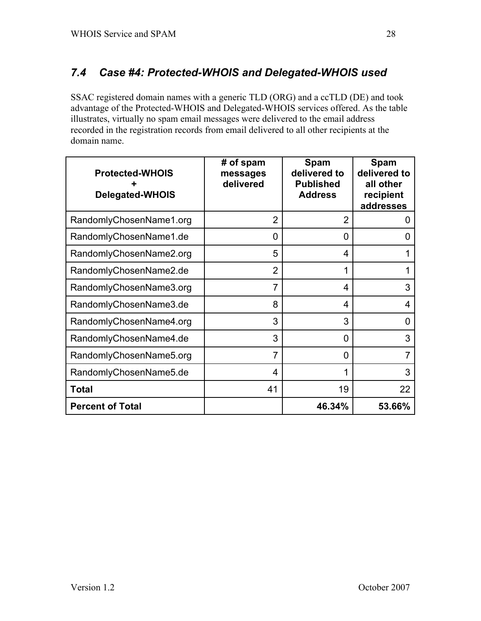## *7.4 Case #4: Protected-WHOIS and Delegated-WHOIS used*

SSAC registered domain names with a generic TLD (ORG) and a ccTLD (DE) and took advantage of the Protected-WHOIS and Delegated-WHOIS services offered. As the table illustrates, virtually no spam email messages were delivered to the email address recorded in the registration records from email delivered to all other recipients at the domain name.

| <b>Protected-WHOIS</b><br>Delegated-WHOIS | # of spam<br>messages<br>delivered | Spam<br>delivered to<br><b>Published</b><br><b>Address</b> | Spam<br>delivered to<br>all other<br>recipient<br>addresses |
|-------------------------------------------|------------------------------------|------------------------------------------------------------|-------------------------------------------------------------|
| RandomlyChosenName1.org                   | $\overline{2}$                     | $\overline{2}$                                             | 0                                                           |
| RandomlyChosenName1.de                    | 0                                  | 0                                                          | 0                                                           |
| RandomlyChosenName2.org                   | 5                                  | 4                                                          |                                                             |
| RandomlyChosenName2.de                    | $\overline{2}$                     | 1                                                          |                                                             |
| RandomlyChosenName3.org                   | $\overline{7}$                     | 4                                                          | 3                                                           |
| RandomlyChosenName3.de                    | 8                                  | 4                                                          | 4                                                           |
| RandomlyChosenName4.org                   | 3                                  | 3                                                          | 0                                                           |
| RandomlyChosenName4.de                    | 3                                  | $\overline{0}$                                             | 3                                                           |
| RandomlyChosenName5.org                   | $\overline{7}$                     | 0                                                          | 7                                                           |
| RandomlyChosenName5.de                    | 4                                  | 1                                                          | 3                                                           |
| Total                                     | 41                                 | 19                                                         | 22                                                          |
| <b>Percent of Total</b>                   |                                    | 46.34%                                                     | 53.66%                                                      |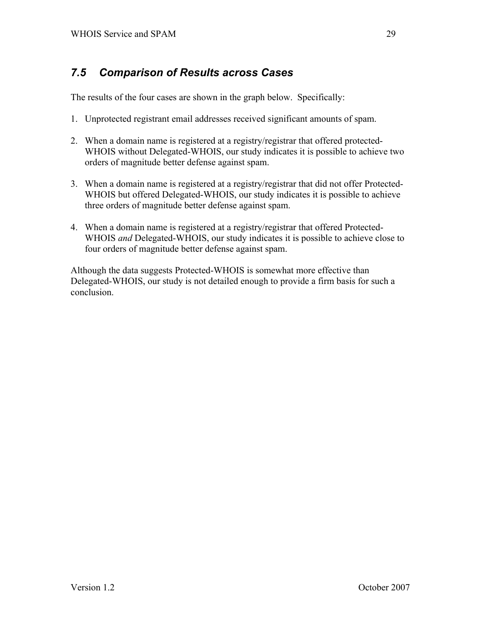## *7.5 Comparison of Results across Cases*

The results of the four cases are shown in the graph below. Specifically:

- 1. Unprotected registrant email addresses received significant amounts of spam.
- 2. When a domain name is registered at a registry/registrar that offered protected-WHOIS without Delegated-WHOIS, our study indicates it is possible to achieve two orders of magnitude better defense against spam.
- 3. When a domain name is registered at a registry/registrar that did not offer Protected-WHOIS but offered Delegated-WHOIS, our study indicates it is possible to achieve three orders of magnitude better defense against spam.
- 4. When a domain name is registered at a registry/registrar that offered Protected-WHOIS *and* Delegated-WHOIS, our study indicates it is possible to achieve close to four orders of magnitude better defense against spam.

Although the data suggests Protected-WHOIS is somewhat more effective than Delegated-WHOIS, our study is not detailed enough to provide a firm basis for such a conclusion.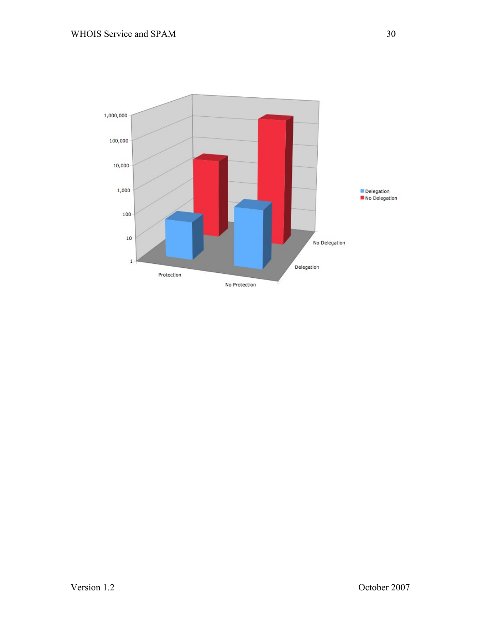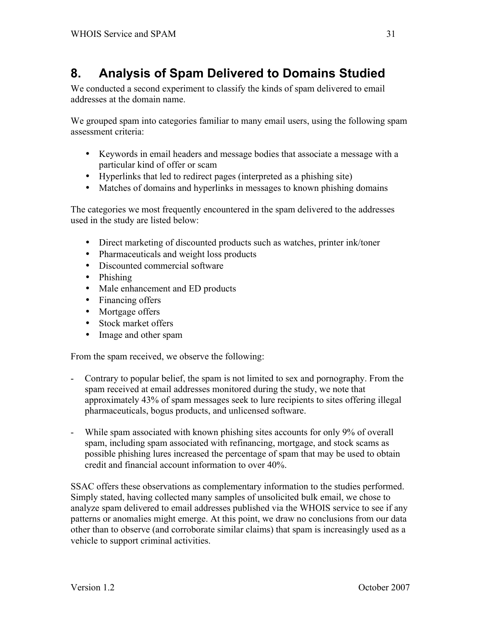## **8. Analysis of Spam Delivered to Domains Studied**

We conducted a second experiment to classify the kinds of spam delivered to email addresses at the domain name.

We grouped spam into categories familiar to many email users, using the following spam assessment criteria:

- Keywords in email headers and message bodies that associate a message with a particular kind of offer or scam
- Hyperlinks that led to redirect pages (interpreted as a phishing site)
- Matches of domains and hyperlinks in messages to known phishing domains

The categories we most frequently encountered in the spam delivered to the addresses used in the study are listed below:

- Direct marketing of discounted products such as watches, printer ink/toner
- Pharmaceuticals and weight loss products
- Discounted commercial software
- Phishing
- Male enhancement and ED products
- Financing offers
- Mortgage offers
- Stock market offers
- Image and other spam

From the spam received, we observe the following:

- Contrary to popular belief, the spam is not limited to sex and pornography. From the spam received at email addresses monitored during the study, we note that approximately 43% of spam messages seek to lure recipients to sites offering illegal pharmaceuticals, bogus products, and unlicensed software.
- While spam associated with known phishing sites accounts for only 9% of overall spam, including spam associated with refinancing, mortgage, and stock scams as possible phishing lures increased the percentage of spam that may be used to obtain credit and financial account information to over 40%.

SSAC offers these observations as complementary information to the studies performed. Simply stated, having collected many samples of unsolicited bulk email, we chose to analyze spam delivered to email addresses published via the WHOIS service to see if any patterns or anomalies might emerge. At this point, we draw no conclusions from our data other than to observe (and corroborate similar claims) that spam is increasingly used as a vehicle to support criminal activities.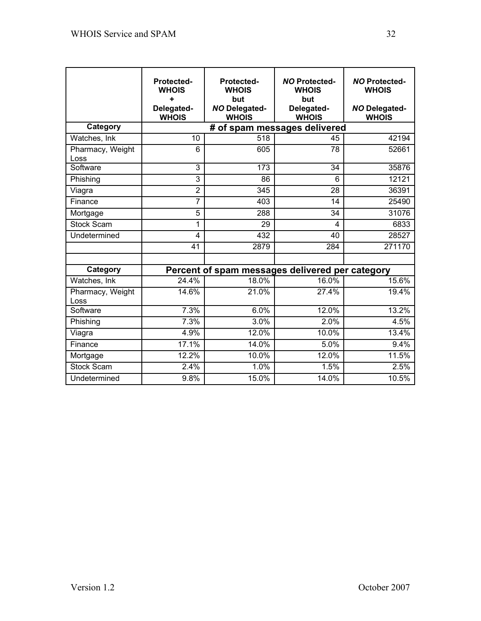|                          | Protected-<br><b>WHOIS</b><br>┻<br>Delegated-<br><b>WHOIS</b> | Protected-<br><b>WHOIS</b><br>but<br><b>NO Delegated-</b><br><b>WHOIS</b> | <b>NO Protected-</b><br><b>WHOIS</b><br>but<br>Delegated-<br><b>WHOIS</b> | <b>NO Protected-</b><br><b>WHOIS</b><br><b>NO Delegated-</b><br><b>WHOIS</b> |
|--------------------------|---------------------------------------------------------------|---------------------------------------------------------------------------|---------------------------------------------------------------------------|------------------------------------------------------------------------------|
| Category                 |                                                               |                                                                           | # of spam messages delivered                                              |                                                                              |
| Watches, Ink             | 10                                                            | $\overline{518}$                                                          | 45                                                                        | 42194                                                                        |
| Pharmacy, Weight<br>Loss | 6                                                             | 605                                                                       | 78                                                                        | 52661                                                                        |
| Software                 | $\overline{3}$                                                | 173                                                                       | $\overline{34}$                                                           | 35876                                                                        |
| Phishing                 | $\overline{3}$                                                | 86                                                                        | 6                                                                         | 12121                                                                        |
| Viagra                   | $\overline{2}$                                                | 345                                                                       | 28                                                                        | 36391                                                                        |
| Finance                  | $\overline{7}$                                                | 403                                                                       | 14                                                                        | 25490                                                                        |
| Mortgage                 | 5                                                             | 288                                                                       | 34                                                                        | 31076                                                                        |
| <b>Stock Scam</b>        | 1                                                             | 29                                                                        | 4                                                                         | 6833                                                                         |
| Undetermined             | $\overline{4}$                                                | 432                                                                       | 40                                                                        | 28527                                                                        |
|                          | 41                                                            | 2879                                                                      | 284                                                                       | 271170                                                                       |
|                          |                                                               |                                                                           |                                                                           |                                                                              |
| Category                 |                                                               | Percent of spam messages delivered per category                           |                                                                           |                                                                              |
| Watches, Ink             | 24.4%                                                         | 18.0%                                                                     | 16.0%                                                                     | 15.6%                                                                        |
| Pharmacy, Weight<br>Loss | 14.6%                                                         | 21.0%                                                                     | 27.4%                                                                     | 19.4%                                                                        |
| Software                 | 7.3%                                                          | 6.0%                                                                      | 12.0%                                                                     | 13.2%                                                                        |
| Phishing                 | 7.3%                                                          | 3.0%                                                                      | 2.0%                                                                      | 4.5%                                                                         |
| Viagra                   | 4.9%                                                          | 12.0%                                                                     | 10.0%                                                                     | 13.4%                                                                        |
| Finance                  | 17.1%                                                         | 14.0%                                                                     | 5.0%                                                                      | 9.4%                                                                         |
| Mortgage                 | 12.2%                                                         | 10.0%                                                                     | 12.0%                                                                     | 11.5%                                                                        |
| <b>Stock Scam</b>        | 2.4%                                                          | 1.0%                                                                      | 1.5%                                                                      | 2.5%                                                                         |
| Undetermined             | 9.8%                                                          | 15.0%                                                                     | 14.0%                                                                     | 10.5%                                                                        |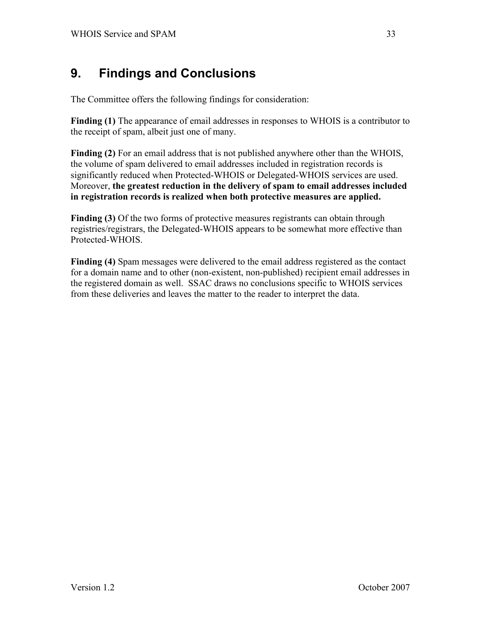# **9. Findings and Conclusions**

The Committee offers the following findings for consideration:

**Finding (1)** The appearance of email addresses in responses to WHOIS is a contributor to the receipt of spam, albeit just one of many.

**Finding (2)** For an email address that is not published anywhere other than the WHOIS, the volume of spam delivered to email addresses included in registration records is significantly reduced when Protected-WHOIS or Delegated-WHOIS services are used. Moreover, **the greatest reduction in the delivery of spam to email addresses included in registration records is realized when both protective measures are applied.**

**Finding (3)** Of the two forms of protective measures registrants can obtain through registries/registrars, the Delegated-WHOIS appears to be somewhat more effective than Protected-WHOIS.

**Finding (4)** Spam messages were delivered to the email address registered as the contact for a domain name and to other (non-existent, non-published) recipient email addresses in the registered domain as well. SSAC draws no conclusions specific to WHOIS services from these deliveries and leaves the matter to the reader to interpret the data.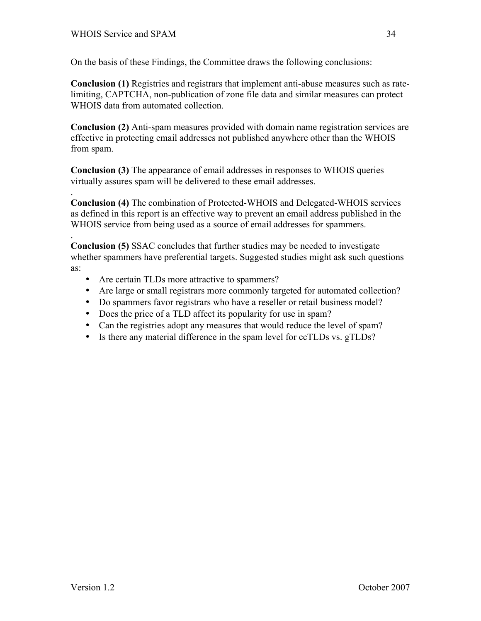.

.

On the basis of these Findings, the Committee draws the following conclusions:

**Conclusion (1)** Registries and registrars that implement anti-abuse measures such as ratelimiting, CAPTCHA, non-publication of zone file data and similar measures can protect WHOIS data from automated collection.

**Conclusion (2)** Anti-spam measures provided with domain name registration services are effective in protecting email addresses not published anywhere other than the WHOIS from spam.

**Conclusion (3)** The appearance of email addresses in responses to WHOIS queries virtually assures spam will be delivered to these email addresses.

**Conclusion (4)** The combination of Protected-WHOIS and Delegated-WHOIS services as defined in this report is an effective way to prevent an email address published in the WHOIS service from being used as a source of email addresses for spammers.

**Conclusion (5)** SSAC concludes that further studies may be needed to investigate whether spammers have preferential targets. Suggested studies might ask such questions as:

- Are certain TLDs more attractive to spammers?
- Are large or small registrars more commonly targeted for automated collection?
- Do spammers favor registrars who have a reseller or retail business model?
- Does the price of a TLD affect its popularity for use in spam?
- Can the registries adopt any measures that would reduce the level of spam?
- Is there any material difference in the spam level for ccTLDs vs. gTLDs?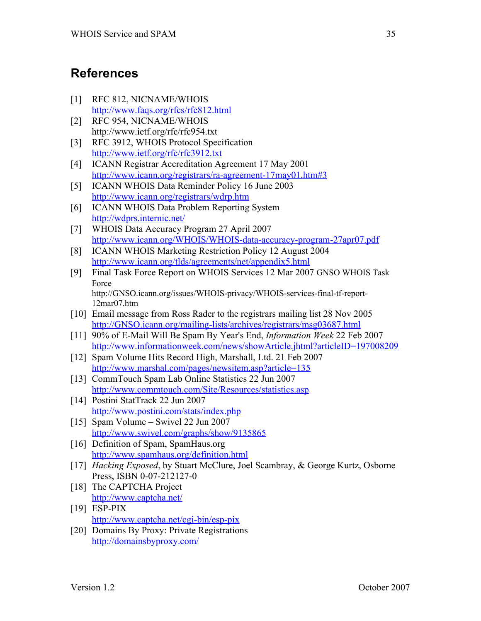## **References**

- [1] RFC 812, NICNAME/WHOIS <http://www.faqs.org/rfcs/rfc812.html>
- [2] RFC 954, NICNAME/WHOIS http://www.ietf.org/rfc/rfc954.txt
- [3] RFC 3912, WHOIS Protocol Specification <http://www.ietf.org/rfc/rfc3912.txt>
- [4] ICANN Registrar Accreditation Agreement 17 May 2001 <http://www.icann.org/registrars/ra-agreement-17may01.htm#3>
- [5] ICANN WHOIS Data Reminder Policy 16 June 2003 <http://www.icann.org/registrars/wdrp.htm>
- [6] ICANN WHOIS Data Problem Reporting System <http://wdprs.internic.net/>
- [7] WHOIS Data Accuracy Program 27 April 2007 [http://www.icann.org/WHOIS/WHOIS-data-accuracy-program-27apr07.pdf](http://www.icann.org/whois/whois-data-accuracy-program-27apr07.pdf)
- [8] ICANN WHOIS Marketing Restriction Policy 12 August 2004 <http://www.icann.org/tlds/agreements/net/appendix5.html>
- [9] Final Task Force Report on WHOIS Services 12 Mar 2007 GNSO WHOIS Task Force http://GNSO.icann.org/issues/WHOIS-privacy/WHOIS-services-final-tf-report-

12mar07.htm

- [10] Email message from Ross Rader to the registrars mailing list 28 Nov 2005 [http://GNSO.icann.org/mailing-lists/archives/registrars/msg03687.html](http://gnso.icann.org/mailing-lists/archives/registrars/msg03687.html)
- [11] 90% of E-Mail Will Be Spam By Year's End, *Information Week* 22 Feb 2007 <http://www.informationweek.com/news/showArticle.jhtml?articleID=197008209>
- [12] Spam Volume Hits Record High, Marshall, Ltd. 21 Feb 2007 <http://www.marshal.com/pages/newsitem.asp?article=135>
- [13] CommTouch Spam Lab Online Statistics 22 Jun 2007 <http://www.commtouch.com/Site/Resources/statistics.asp>
- [14] Postini StatTrack 22 Jun 2007 <http://www.postini.com/stats/index.php>
- [15] Spam Volume Swivel 22 Jun 2007 <http://www.swivel.com/graphs/show/9135865>
- [16] Definition of Spam, SpamHaus.org <http://www.spamhaus.org/definition.html>
- [17] *Hacking Exposed*, by Stuart McClure, Joel Scambray, & George Kurtz, Osborne Press, ISBN 0-07-212127-0
- [18] The CAPTCHA Project <http://www.captcha.net/>
- [19] ESP-PIX <http://www.captcha.net/cgi-bin/esp-pix>
- [20] Domains By Proxy: Private Registrations <http://domainsbyproxy.com/>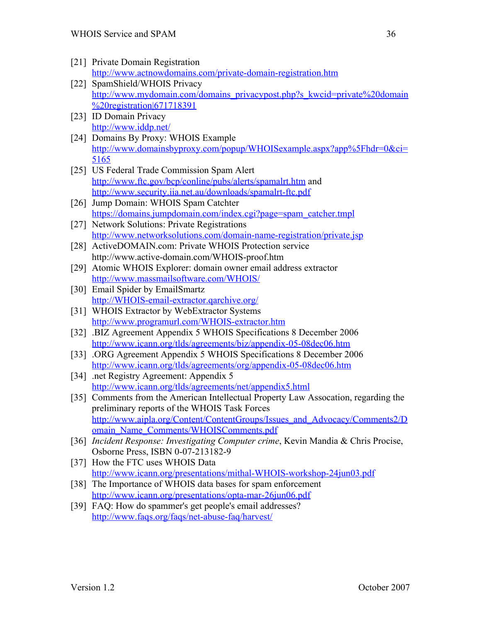- [21] Private Domain Registration <http://www.actnowdomains.com/private-domain-registration.htm>
- [22] SpamShield/WHOIS Privacy [http://www.mydomain.com/domains\\_privacypost.php?s\\_kwcid=private%20domain](http://www.mydomain.com/domains_privacypost.php?s_kwcid=private domain registration|671718391) [%20registration|671718391](http://www.mydomain.com/domains_privacypost.php?s_kwcid=private domain registration|671718391)
- [23] ID Domain Privacy <http://www.iddp.net/>
- [24] Domains By Proxy: WHOIS Example [http://www.domainsbyproxy.com/popup/WHOISexample.aspx?app%5Fhdr=0&ci=](http://www.domainsbyproxy.com/popup/whoisexample.aspx?app_hdr=0&ci=5165) [5165](http://www.domainsbyproxy.com/popup/whoisexample.aspx?app_hdr=0&ci=5165)
- [25] US Federal Trade Commission Spam Alert <http://www.ftc.gov/bcp/conline/pubs/alerts/spamalrt.htm> and <http://www.security.iia.net.au/downloads/spamalrt-ftc.pdf>
- [26] Jump Domain: WHOIS Spam Catchter [https://domains.jumpdomain.com/index.cgi?page=spam\\_catcher.tmpl](https://domains.jumpdomain.com/index.cgi?page=spam_catcher.tmpl)
- [27] Network Solutions: Private Registrations <http://www.networksolutions.com/domain-name-registration/private.jsp>
- [28] ActiveDOMAIN.com: Private WHOIS Protection service http://www.active-domain.com/WHOIS-proof.htm
- [29] Atomic WHOIS Explorer: domain owner email address extractor [http://www.massmailsoftware.com/WHOIS/](http://www.massmailsoftware.com/whois/)
- [30] Email Spider by EmailSmartz [http://WHOIS-email-extractor.qarchive.org/](http://whois-email-extractor.qarchive.org/)
- [31] WHOIS Extractor by WebExtractor Systems [http://www.programurl.com/WHOIS-extractor.htm](http://www.programurl.com/whois-extractor.htm)
- [32] .BIZ Agreement Appendix 5 WHOIS Specifications 8 December 2006 <http://www.icann.org/tlds/agreements/biz/appendix-05-08dec06.htm>
- [33] .ORG Agreement Appendix 5 WHOIS Specifications 8 December 2006 <http://www.icann.org/tlds/agreements/org/appendix-05-08dec06.htm>
- [34] .net Registry Agreement: Appendix 5 <http://www.icann.org/tlds/agreements/net/appendix5.html>
- [35] Comments from the American Intellectual Property Law Assocation, regarding the preliminary reports of the WHOIS Task Forces [http://www.aipla.org/Content/ContentGroups/Issues\\_and\\_Advocacy/Comments2/D](http://www.aipla.org/Content/ContentGroups/Issues_and_Advocacy/Comments2/Domain_Name_Comments/WhoisComments.pdf) [omain\\_Name\\_Comments/WHOISComments.pdf](http://www.aipla.org/Content/ContentGroups/Issues_and_Advocacy/Comments2/Domain_Name_Comments/WhoisComments.pdf)
- [36] *Incident Response: Investigating Computer crime*, Kevin Mandia & Chris Procise, Osborne Press, ISBN 0-07-213182-9
- [37] How the FTC uses WHOIS Data [http://www.icann.org/presentations/mithal-WHOIS-workshop-24jun03.pdf](http://www.icann.org/presentations/mithal-whois-workshop-24jun03.pdf)
- [38] The Importance of WHOIS data bases for spam enforcement <http://www.icann.org/presentations/opta-mar-26jun06.pdf>
- [39] FAO: How do spammer's get people's email addresses? <http://www.faqs.org/faqs/net-abuse-faq/harvest/>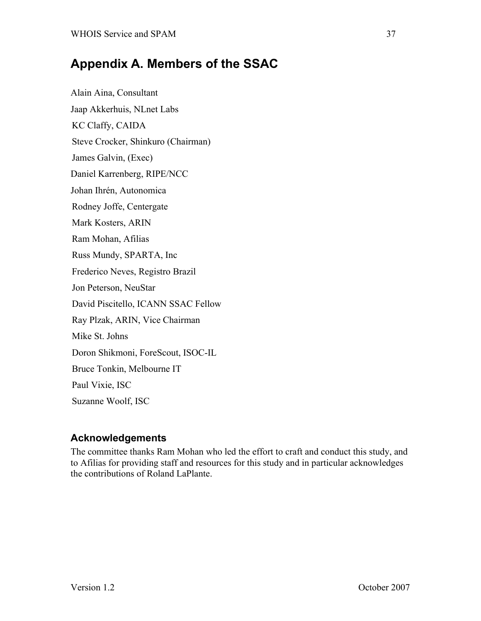## **Appendix A. Members of the SSAC**

Alain Aina, Consultant Jaap Akkerhuis, NLnet Labs KC Claffy, CAIDA Steve Crocker, Shinkuro (Chairman) James Galvin, (Exec) Daniel Karrenberg, RIPE/NCC Johan Ihrén, Autonomica Rodney Joffe, Centergate Mark Kosters, ARIN Ram Mohan, Afilias Russ Mundy, SPARTA, Inc Frederico Neves, Registro Brazil Jon Peterson, NeuStar David Piscitello, ICANN SSAC Fellow Ray Plzak, ARIN, Vice Chairman Mike St. Johns Doron Shikmoni, ForeScout, ISOC-IL Bruce Tonkin, Melbourne IT Paul Vixie, ISC Suzanne Woolf, ISC

#### **Acknowledgements**

The committee thanks Ram Mohan who led the effort to craft and conduct this study, and to Afilias for providing staff and resources for this study and in particular acknowledges the contributions of Roland LaPlante.